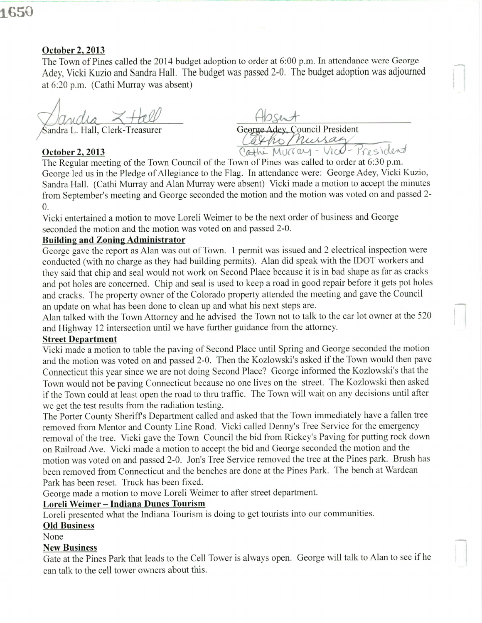# 1650

### October 2. 2013

The Town of Pines called the 2014 budget adoption to order at 6:00 p.m. In attendance were George Adey, Vicki Kuzio and Sandra Hall. The budget was passed 2-0. The budget adoption was adjoumed at 6:20 p.m. (Cathi Murray was absent)

Sandra L. Hall, Clerk-Treasurer

## October 2.2013

George Adey, Council President Catho Mussay<br>Cathi Murray - Vrc - President

The Regular meeting of the Town Council of the Town of Pines was called to order at 6:30 p.m. George led us in the Pledge of Allegiance to the Flag. In attendance were: George Adey, Vicki Kuzio, Sandra Hall. (Cathi Murray and Alan Murray were absent) Vicki made a motion to accept the minutes from September's meeting and George seconded the motion and the motion was voted on and passed 2- 0.

Vicki entertained a motion to move Loreli Weimer to be the next order of business and George seconded the motion and the motion was voted on and passed 2-0.

### Building and Zoning Administrator

George gave the report as Alan was out of Town. 1 permit was issued and 2 electrical inspection were conducted (with no charge as they had building permits). Alan did speak with the IDOT workers and they said that chip and seal would not work on Second Place because it is in bad shape as far as cracks and pot holes are concerned. Chip and seal is used to keep a road in good repair before it gets pot holes and cracks. The property owner of the Colorado property attended the meeting and gave the Council an update on what has been done to clean up and what his next steps are.

Alan talked with the Town Attorney and he advised the Town not to talk to the car lot owner at the 520 and Highway 12 intersection until we have further guidance from the attorney.

#### Street Department

Vicki made a motion to table the paving of Second Place until Spring and George seconded the motion and the motion was voted on and passed 2-0. Then the Kozlowski's asked if the Town would then pave Connecticut this year since we are not doing Second Place? George informed the Kozlowski's that the Town would not be paving Connecticut because no one lives on the street. The Kozlowski then asked if the Town could at least open the road to thru traffic. The Town will wait on any decisions until after we get the test results from the radiation testing.

The Porter County Sheriffs Department called and asked that the Town immediately have a fallen tree removed from Mentor and County Line Road. Vicki called Denny's Tree Service for the emergency removal of the tree. Vicki gave the Town Council the bid from Rickey's Paving for putting rock down on Railroad Ave. Vicki made a motion to accept the bid and George seconded the motion and the motion was voted on and passed 2-0. Jon's Tree Service removed the tree at the Pines park. Brush has been removed from Connecticut and the benches are done at the Pines Park. The bench at Wardean Park has been reset. Truck has been fixed.

George made a motion to move Loreli Weimer to after street department.

## Loreli Weimer - Indiana Dunes Tourism

Loreli presented what the Indiana Tourism is doing to get tourists into our communities.

## Old Business

None

## New Business

Gate at the Pines Park that leads to the Cell Tower is always open. George will talk to Alan to see if he can talk to the cell tower owners about this.